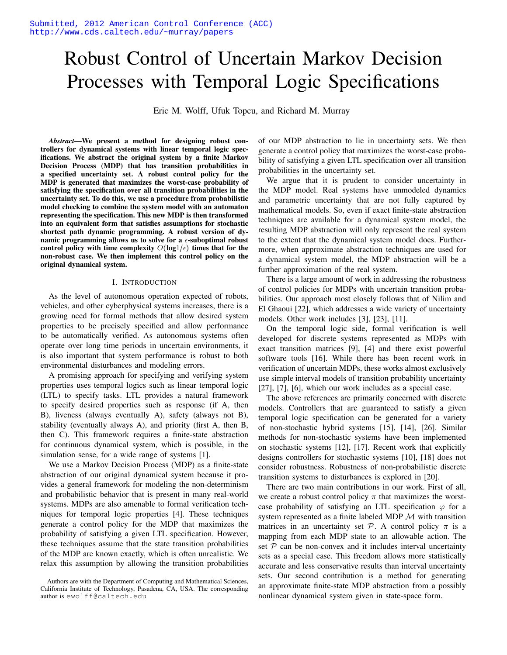# Robust Control of Uncertain Markov Decision Processes with Temporal Logic Specifications

Eric M. Wolff, Ufuk Topcu, and Richard M. Murray

*Abstract*—We present a method for designing robust controllers for dynamical systems with linear temporal logic specifications. We abstract the original system by a finite Markov Decision Process (MDP) that has transition probabilities in a specified uncertainty set. A robust control policy for the MDP is generated that maximizes the worst-case probability of satisfying the specification over all transition probabilities in the uncertainty set. To do this, we use a procedure from probabilistic model checking to combine the system model with an automaton representing the specification. This new MDP is then transformed into an equivalent form that satisfies assumptions for stochastic shortest path dynamic programming. A robust version of dynamic programming allows us to solve for a  $\epsilon$ -suboptimal robust control policy with time complexity  $O(log1/\epsilon)$  times that for the non-robust case. We then implement this control policy on the original dynamical system.

## I. INTRODUCTION

As the level of autonomous operation expected of robots, vehicles, and other cyberphysical systems increases, there is a growing need for formal methods that allow desired system properties to be precisely specified and allow performance to be automatically verified. As autonomous systems often operate over long time periods in uncertain environments, it is also important that system performance is robust to both environmental disturbances and modeling errors.

A promising approach for specifying and verifying system properties uses temporal logics such as linear temporal logic (LTL) to specify tasks. LTL provides a natural framework to specify desired properties such as response (if A, then B), liveness (always eventually A), safety (always not B), stability (eventually always A), and priority (first A, then B, then C). This framework requires a finite-state abstraction for continuous dynamical system, which is possible, in the simulation sense, for a wide range of systems [1].

We use a Markov Decision Process (MDP) as a finite-state abstraction of our original dynamical system because it provides a general framework for modeling the non-determinism and probabilistic behavior that is present in many real-world systems. MDPs are also amenable to formal verification techniques for temporal logic properties [4]. These techniques generate a control policy for the MDP that maximizes the probability of satisfying a given LTL specification. However, these techniques assume that the state transition probabilities of the MDP are known exactly, which is often unrealistic. We relax this assumption by allowing the transition probabilities

of our MDP abstraction to lie in uncertainty sets. We then generate a control policy that maximizes the worst-case probability of satisfying a given LTL specification over all transition probabilities in the uncertainty set.

We argue that it is prudent to consider uncertainty in the MDP model. Real systems have unmodeled dynamics and parametric uncertainty that are not fully captured by mathematical models. So, even if exact finite-state abstraction techniques are available for a dynamical system model, the resulting MDP abstraction will only represent the real system to the extent that the dynamical system model does. Furthermore, when approximate abstraction techniques are used for a dynamical system model, the MDP abstraction will be a further approximation of the real system.

There is a large amount of work in addressing the robustness of control policies for MDPs with uncertain transition probabilities. Our approach most closely follows that of Nilim and El Ghaoui [22], which addresses a wide variety of uncertainty models. Other work includes [3], [23], [11].

On the temporal logic side, formal verification is well developed for discrete systems represented as MDPs with exact transition matrices [9], [4] and there exist powerful software tools [16]. While there has been recent work in verification of uncertain MDPs, these works almost exclusively use simple interval models of transition probability uncertainty [27], [7], [6], which our work includes as a special case.

The above references are primarily concerned with discrete models. Controllers that are guaranteed to satisfy a given temporal logic specification can be generated for a variety of non-stochastic hybrid systems [15], [14], [26]. Similar methods for non-stochastic systems have been implemented on stochastic systems [12], [17]. Recent work that explicitly designs controllers for stochastic systems [10], [18] does not consider robustness. Robustness of non-probabilistic discrete transition systems to disturbances is explored in [20].

There are two main contributions in our work. First of all, we create a robust control policy  $\pi$  that maximizes the worstcase probability of satisfying an LTL specification  $\varphi$  for a system represented as a finite labeled MDP  $M$  with transition matrices in an uncertainty set  $P$ . A control policy  $\pi$  is a mapping from each MDP state to an allowable action. The set  $P$  can be non-convex and it includes interval uncertainty sets as a special case. This freedom allows more statistically accurate and less conservative results than interval uncertainty sets. Our second contribution is a method for generating an approximate finite-state MDP abstraction from a possibly nonlinear dynamical system given in state-space form.

Authors are with the Department of Computing and Mathematical Sciences, California Institute of Technology, Pasadena, CA, USA. The corresponding author is ewolff@caltech.edu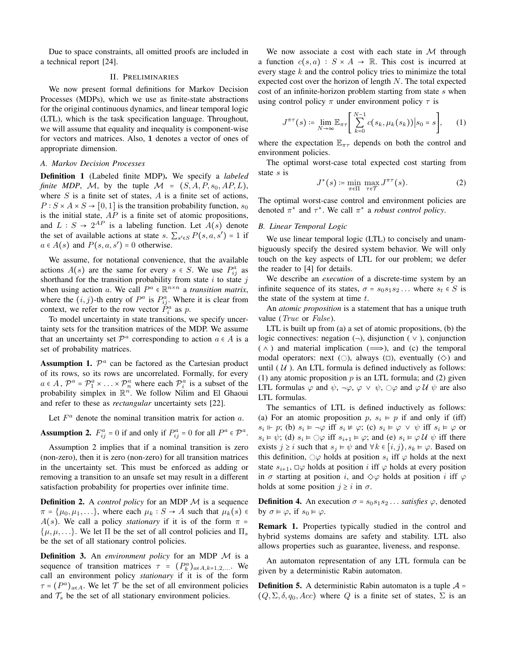Due to space constraints, all omitted proofs are included in a technical report [24].

# II. PRELIMINARIES

We now present formal definitions for Markov Decision Processes (MDPs), which we use as finite-state abstractions for the original continuous dynamics, and linear temporal logic (LTL), which is the task specification language. Throughout, we will assume that equality and inequality is component-wise for vectors and matrices. Also, 1 denotes a vector of ones of appropriate dimension.

## *A. Markov Decision Processes*

Definition 1 (Labeled finite MDP). We specify a *labeled finite MDP*, M, by the tuple  $M = (S, A, P, s_0, AP, L)$ , where  $S$  is a finite set of states,  $A$  is a finite set of actions,  $P: S \times A \times S \rightarrow [0, 1]$  is the transition probability function,  $s_0$ is the initial state,  $AP$  is a finite set of atomic propositions, and  $L : S \to 2^{AP}$  is a labeling function. Let  $A(s)$  denote the set of available actions at state s.  $\sum_{s' \in S} P(s, a, s') = 1$  if  $a \in A(s)$  and  $P(s, a, s') = 0$  otherwise.

We assume, for notational convenience, that the available actions  $A(s)$  are the same for every  $s \in S$ . We use  $P_{ij}^a$  as shorthand for the transition probability from state  $i$  to state  $j$ when using action a. We call  $P^a \in \mathbb{R}^{n \times n}$  a *transition matrix*, where the  $(i, j)$ -th entry of  $P^a$  is  $P^a_{ij}$ . Where it is clear from context, we refer to the row vector  $\check{P}_i^a$  as p.

To model uncertainty in state transitions, we specify uncertainty sets for the transition matrices of the MDP. We assume that an uncertainty set  $\mathcal{P}^a$  corresponding to action  $a \in A$  is a set of probability matrices.

Assumption 1.  $\mathcal{P}^a$  can be factored as the Cartesian product of its rows, so its rows are uncorrelated. Formally, for every  $a \in A$ ,  $\mathcal{P}^a = \mathcal{P}^a_1 \times \ldots \times \mathcal{P}^a_n$  where each  $\mathcal{P}^a_i$  is a subset of the probability simplex in  $\mathbb{R}^n$ . We follow Nilim and El Ghaoui and refer to these as *rectangular* uncertainty sets [22].

Let  $F^a$  denote the nominal transition matrix for action a.

**Assumption 2.**  $F_{ij}^a = 0$  if and only if  $P_{ij}^a = 0$  for all  $P^a \in \mathcal{P}^a$ .

Assumption 2 implies that if a nominal transition is zero (non-zero), then it is zero (non-zero) for all transition matrices in the uncertainty set. This must be enforced as adding or removing a transition to an unsafe set may result in a different satisfaction probability for properties over infinite time.

**Definition 2.** A *control policy* for an MDP M is a sequence  $\pi = {\mu_0, \mu_1, \ldots}$ , where each  $\mu_k : S \to A$  such that  $\mu_k(s) \in$  $A(s)$ . We call a policy *stationary* if it is of the form  $\pi =$  $\{\mu, \mu, \ldots\}$ . We let  $\Pi$  be the set of all control policies and  $\Pi_s$ be the set of all stationary control policies.

Definition 3. An *environment policy* for an MDP M is a sequence of transition matrices  $\tau = (P_k^a)_{a \in A, k=1,2,...}$ . We call an environment policy *stationary* if it is of the form  $\tau = (P^a)_{a \in A}$ . We let  $\mathcal T$  be the set of all environment policies and  $\mathcal{T}_s$  be the set of all stationary environment policies.

We now associate a cost with each state in  $M$  through a function  $c(s, a) : S \times A \rightarrow \mathbb{R}$ . This cost is incurred at every stage  $k$  and the control policy tries to minimize the total expected cost over the horizon of length  $N$ . The total expected cost of an infinite-horizon problem starting from state  $s$  when using control policy  $\pi$  under environment policy  $\tau$  is

$$
J^{\pi\tau}(s) \coloneqq \lim_{N \to \infty} \mathbb{E}_{\pi\tau} \Bigg[ \sum_{k=0}^{N-1} c(s_k, \mu_k(s_k)) \Big| s_0 = s \Bigg], \qquad (1)
$$

where the expectation  $\mathbb{E}_{\pi\tau}$  depends on both the control and environment policies.

The optimal worst-case total expected cost starting from state s is

$$
J^*(s) \coloneqq \min_{\pi \in \Pi} \max_{\tau \in \mathcal{T}} J^{\pi \tau}(s). \tag{2}
$$

The optimal worst-case control and environment policies are denoted  $\pi^*$  and  $\tau^*$ . We call  $\pi^*$  a *robust control policy*.

# *B. Linear Temporal Logic*

We use linear temporal logic (LTL) to concisely and unambiguously specify the desired system behavior. We will only touch on the key aspects of LTL for our problem; we defer the reader to [4] for details.

We describe an *execution* of a discrete-time system by an infinite sequence of its states,  $\sigma = s_0 s_1 s_2 \dots$  where  $s_t \in S$  is the state of the system at time  $t$ .

An *atomic proposition* is a statement that has a unique truth value (*True* or *False*).

LTL is built up from (a) a set of atomic propositions, (b) the logic connectives: negation  $(\neg)$ , disjunction  $(\vee)$ , conjunction  $( \wedge )$  and material implication  $(\implies )$ , and (c) the temporal modal operators: next ( $\bigcirc$ ), always ( $\bigcirc$ ), eventually ( $\diamond$ ) and until  $(U)$ . An LTL formula is defined inductively as follows: (1) any atomic proposition  $p$  is an LTL formula; and (2) given LTL formulas  $\varphi$  and  $\psi$ ,  $\neg \varphi$ ,  $\varphi \lor \psi$ ,  $\bigcirc \varphi$  and  $\varphi$  U  $\psi$  are also LTL formulas.

The semantics of LTL is defined inductively as follows: (a) For an atomic proposition p,  $s_i \vDash p$  if and only if (iff)  $s_i \Vdash p$ ; (b)  $s_i \vDash \neg \varphi$  iff  $s_i \nvDash \varphi$ ; (c)  $s_i \vDash \varphi \lor \psi$  iff  $s_i \vDash \varphi$  or  $s_i \vDash \psi$ ; (d)  $s_i \vDash \bigcirc \varphi$  iff  $s_{i+1} \vDash \varphi$ ; and (e)  $s_i \vDash \varphi \mathcal{U} \psi$  iff there exists  $j \geq i$  such that  $s_j \vDash \psi$  and  $\forall k \in [i, j), s_k \vDash \varphi$ . Based on this definition,  $\bigcirc \varphi$  holds at position  $s_i$  iff  $\varphi$  holds at the next state  $s_{i+1}$ ,  $\Box \varphi$  holds at position i iff  $\varphi$  holds at every position in  $\sigma$  starting at position i, and  $\diamondsuit\varphi$  holds at position i iff  $\varphi$ holds at some position  $j \geq i$  in  $\sigma$ .

**Definition 4.** An execution  $\sigma = s_0 s_1 s_2 \dots$  *satisfies*  $\varphi$ , denoted by  $\sigma \models \varphi$ , if  $s_0 \models \varphi$ .

Remark 1. Properties typically studied in the control and hybrid systems domains are safety and stability. LTL also allows properties such as guarantee, liveness, and response.

An automaton representation of any LTL formula can be given by a deterministic Rabin automaton.

**Definition 5.** A deterministic Rabin automaton is a tuple  $A =$  $(Q, \Sigma, \delta, q_0, Acc)$  where Q is a finite set of states,  $\Sigma$  is an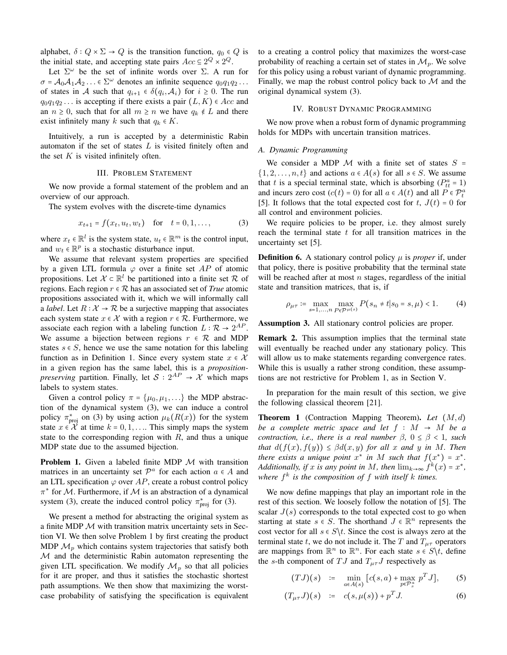alphabet,  $\delta$  :  $Q \times \Sigma \rightarrow Q$  is the transition function,  $q_0 \in Q$  is the initial state, and accepting state pairs  $Acc \subseteq 2^Q \times 2^Q$ .

Let  $\Sigma^{\omega}$  be the set of infinite words over  $\Sigma$ . A run for  $\sigma = \mathcal{A}_0 \mathcal{A}_1 \mathcal{A}_2 \ldots \in \Sigma^{\omega}$  denotes an infinite sequence  $q_0q_1q_2 \ldots$ of states in A such that  $q_{i+1} \in \delta(q_i, \mathcal{A}_i)$  for  $i \geq 0$ . The run  $q_0q_1q_2...$  is accepting if there exists a pair  $(L, K) \in Acc$  and an  $n \geq 0$ , such that for all  $m \geq n$  we have  $q_k \notin L$  and there exist infinitely many k such that  $q_k \in K$ .

Intuitively, a run is accepted by a deterministic Rabin automaton if the set of states  $L$  is visited finitely often and the set  $K$  is visited infinitely often.

## III. PROBLEM STATEMENT

We now provide a formal statement of the problem and an overview of our approach.

The system evolves with the discrete-time dynamics

$$
x_{t+1} = f(x_t, u_t, w_t) \quad \text{for} \quad t = 0, 1, ..., \tag{3}
$$

where  $x_t \in \mathbb{R}^l$  is the system state,  $u_t \in \mathbb{R}^m$  is the control input, and  $w_t \in \mathbb{R}^p$  is a stochastic disturbance input.

We assume that relevant system properties are specified by a given LTL formula  $\varphi$  over a finite set AP of atomic propositions. Let  $\mathcal{X} \subset \mathbb{R}^l$  be partitioned into a finite set  $\mathcal{R}$  of regions. Each region  $r \in \mathcal{R}$  has an associated set of *True* atomic propositions associated with it, which we will informally call a *label*. Let  $R: \mathcal{X} \to \mathcal{R}$  be a surjective mapping that associates each system state  $x \in \mathcal{X}$  with a region  $r \in \mathcal{R}$ . Furthermore, we associate each region with a labeling function  $L : \mathcal{R} \to 2^{AP}$ . We assume a bijection between regions  $r \in \mathcal{R}$  and MDP states  $s \in S$ , hence we use the same notation for this labeling function as in Definition 1. Since every system state  $x \in \mathcal{X}$ in a given region has the same label, this is a *propositionpreserving* partition. Finally, let  $S: 2^{AP} \rightarrow \mathcal{X}$  which maps labels to system states.

Given a control policy  $\pi = {\mu_0, \mu_1, \ldots}$  the MDP abstraction of the dynamical system (3), we can induce a control policy  $\pi_{\text{proj}}^*$  on (3) by using action  $\mu_k(R(x))$  for the system state  $x \in \mathcal{X}$  at time  $k = 0, 1, \ldots$  This simply maps the system state to the corresponding region with  $R$ , and thus a unique MDP state due to the assumed bijection.

**Problem 1.** Given a labeled finite MDP  $M$  with transition matrices in an uncertainty set  $\mathcal{P}^a$  for each action  $a \in A$  and an LTL specification  $\varphi$  over AP, create a robust control policy  $\pi^*$  for M. Furthermore, if M is an abstraction of a dynamical system (3), create the induced control policy  $\pi_{\text{proj}}^*$  for (3).

We present a method for abstracting the original system as a finite MDP  $M$  with transition matrix uncertainty sets in Section VI. We then solve Problem 1 by first creating the product MDP  $\mathcal{M}_p$  which contains system trajectories that satisfy both M and the deterministic Rabin automaton representing the given LTL specification. We modify  $\mathcal{M}_p$  so that all policies for it are proper, and thus it satisfies the stochastic shortest path assumptions. We then show that maximizing the worstcase probability of satisfying the specification is equivalent to a creating a control policy that maximizes the worst-case probability of reaching a certain set of states in  $\mathcal{M}_p$ . We solve for this policy using a robust variant of dynamic programming. Finally, we map the robust control policy back to  $M$  and the original dynamical system (3).

# IV. ROBUST DYNAMIC PROGRAMMING

We now prove when a robust form of dynamic programming holds for MDPs with uncertain transition matrices.

# *A. Dynamic Programming*

We consider a MDP  $\mathcal M$  with a finite set of states  $S =$  $\{1, 2, \ldots, n, t\}$  and actions  $a \in A(s)$  for all  $s \in S$ . We assume that t is a special terminal state, which is absorbing  $(P_{tt}^a = 1)$ and incurs zero cost  $(c(t) = 0)$  for all  $a \in A(t)$  and all  $P \in \mathcal{P}_t^a$ [5]. It follows that the total expected cost for t,  $J(t) = 0$  for all control and environment policies.

We require policies to be proper, i.e. they almost surely reach the terminal state  $t$  for all transition matrices in the uncertainty set [5].

**Definition 6.** A stationary control policy  $\mu$  is *proper* if, under that policy, there is positive probability that the terminal state will be reached after at most  $n$  stages, regardless of the initial state and transition matrices, that is, if

$$
\rho_{\mu\tau} := \max_{s=1,\dots,n} \max_{P \in \mathcal{P}^{\mu(s)}} P(s_n \neq t | s_0 = s, \mu) < 1. \tag{4}
$$

Assumption 3. All stationary control policies are proper.

Remark 2. This assumption implies that the terminal state will eventually be reached under any stationary policy. This will allow us to make statements regarding convergence rates. While this is usually a rather strong condition, these assumptions are not restrictive for Problem 1, as in Section V.

In preparation for the main result of this section, we give the following classical theorem [21].

Theorem 1 (Contraction Mapping Theorem). *Let* (M,d) *be a complete metric space and let*  $f : M \rightarrow M$  *be a contraction, i.e., there is a real number*  $\beta$ ,  $0 \leq \beta < 1$ *, such that*  $d(f(x), f(y)) \leq \beta d(x, y)$  *for all* x *and* y *in* M. Then *there exists a unique point*  $x^*$  *in* M *such that*  $f(x^*) = x^*$ . *Additionally, if* x *is any point in* M, then  $\lim_{k\to\infty} f^k(x) = x^*$ , *where*  $f^k$  *is the composition of*  $f$  *with itself*  $k$  *times.* 

We now define mappings that play an important role in the rest of this section. We loosely follow the notation of [5]. The scalar  $J(s)$  corresponds to the total expected cost to go when starting at state  $s \in S$ . The shorthand  $J \in \mathbb{R}^n$  represents the cost vector for all  $s \in S \backslash t$ . Since the cost is always zero at the terminal state t, we do not include it. The T and  $T_{\mu\tau}$  operators are mappings from  $\mathbb{R}^n$  to  $\mathbb{R}^n$ . For each state  $s \in S \backslash t$ , define the s-th component of  $TJ$  and  $T_{\mu\tau}J$  respectively as

$$
(TJ)(s) \quad := \quad \min_{a \in A(s)} \left[ c(s,a) + \max_{p \in \mathcal{P}_s^a} \ p^T J \right], \tag{5}
$$

$$
(T_{\mu\tau}J)(s) := c(s,\mu(s)) + p^T J. \tag{6}
$$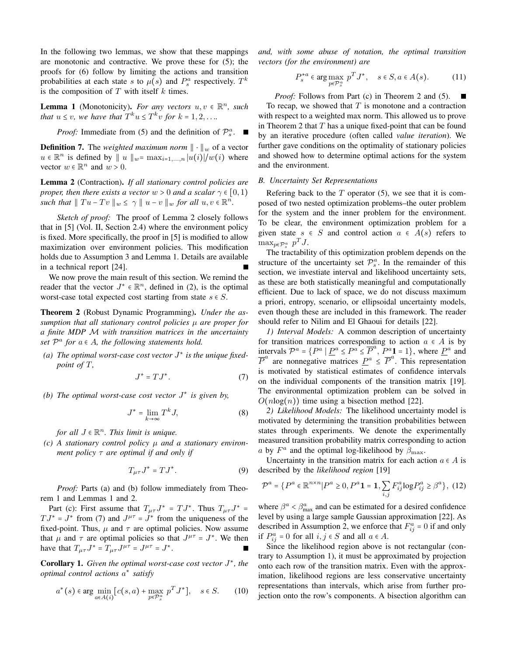In the following two lemmas, we show that these mappings are monotonic and contractive. We prove these for (5); the proofs for (6) follow by limiting the actions and transition probabilities at each state s to  $\mu(s)$  and  $P_s^a$  respectively.  $T^k$ is the composition of  $T$  with itself  $k$  times.

**Lemma 1** (Monotonicity). *For any vectors*  $u, v \in \mathbb{R}^n$ , such *that*  $u \leq v$ *, we have that*  $T^k u \leq T^k v$  *for*  $k = 1, 2, \ldots$ *.* 

*Proof:* Immediate from (5) and the definition of  $\mathcal{P}_s^a$ .

**Definition 7.** The *weighted maximum norm*  $\|\cdot\|_w$  of a vector  $u \in \mathbb{R}^n$  is defined by  $||u||_{w} = \max_{i=1,...,n} |u(i)|/w(i)$  where vector  $w \in \mathbb{R}^n$  and  $w > 0$ .

Lemma 2 (Contraction). *If all stationary control policies are proper, then there exists a vector*  $w > 0$  *and a scalar*  $\gamma \in [0, 1)$ *such that*  $||Tu-Tv||_w \leq \gamma ||u-v||_w$  *for all*  $u, v \in \mathbb{R}^n$ .

*Sketch of proof:* The proof of Lemma 2 closely follows that in [5] (Vol. II, Section 2.4) where the environment policy is fixed. More specifically, the proof in [5] is modified to allow maximization over environment policies. This modification holds due to Assumption 3 and Lemma 1. Details are available in a technical report [24].

We now prove the main result of this section. We remind the reader that the vector  $J^* \in \mathbb{R}^n$ , defined in (2), is the optimal worst-case total expected cost starting from state  $s \in S$ .

Theorem 2 (Robust Dynamic Programming). *Under the assumption that all stationary control policies* µ *are proper for a finite MDP* M *with transition matrices in the uncertainty set*  $\mathcal{P}^a$  *for*  $a \in A$ *, the following statements hold.* 

*(a) The optimal worst-case cost vector* J<sup>∗</sup> *is the unique fixedpoint of* T*,*

$$
J^* = TJ^*.\t\t(7)
$$

*(b) The optimal worst-case cost vector* J<sup>∗</sup> *is given by,*

$$
J^* = \lim_{k \to \infty} T^k J,\tag{8}
$$

*for all*  $J \in \mathbb{R}^n$ *. This limit is unique.* 

*(c) A stationary control policy* µ *and a stationary environment policy* τ *are optimal if and only if*

$$
T_{\mu\tau}J^* = TJ^*.
$$
 (9)

*Proof:* Parts (a) and (b) follow immediately from Theorem 1 and Lemmas 1 and 2.

Part (c): First assume that  $T_{\mu\tau}J^* = TJ^*$ . Thus  $T_{\mu\tau}J^* =$  $T J^* = J^*$  from (7) and  $J^{\mu\tau} = J^*$  from the uniqueness of the fixed-point. Thus,  $\mu$  and  $\tau$  are optimal policies. Now assume that  $\mu$  and  $\tau$  are optimal policies so that  $J^{\mu\tau} = J^*$ . We then have that  $T_{\mu\tau}J^* = T_{\mu\tau}J^{\mu\tau} = J^*$ .

Corollary 1. *Given the optimal worst-case cost vector* J∗*, the optimal control actions* a<sup>∗</sup> *satisfy*

$$
a^*(s) \in \arg\min_{a \in A(i)} \left[ c(s, a) + \max_{p \in \mathcal{P}_s^a} p^T J^* \right], \quad s \in S. \tag{10}
$$

*and, with some abuse of notation, the optimal transition vectors (for the environment) are*

$$
P_s^{*a} \in \arg\max_{p \in \mathcal{P}_s^a} p^T J^*, \quad s \in S, a \in A(s). \tag{11}
$$

*Proof:* Follows from Part (c) in Theorem 2 and (5). To recap, we showed that  $T$  is monotone and a contraction with respect to a weighted max norm. This allowed us to prove in Theorem 2 that  $T$  has a unique fixed-point that can be found by an iterative procedure (often called *value iteration*). We further gave conditions on the optimality of stationary policies and showed how to determine optimal actions for the system and the environment.

# *B. Uncertainty Set Representations*

Refering back to the  $T$  operator (5), we see that it is composed of two nested optimization problems–the outer problem for the system and the inner problem for the environment. To be clear, the environment optimization problem for a given state  $s \in S$  and control action  $a \in A(s)$  refers to  $\max_{p \in \mathcal{P}_s^a} p^T J.$ 

The tractability of this optimization problem depends on the structure of the uncertainty set  $\mathcal{P}_s^a$ . In the remainder of this section, we investiate interval and likelihood uncertainty sets, as these are both statistically meaningful and computationally efficient. Due to lack of space, we do not discuss maximum a priori, entropy, scenario, or ellipsoidal uncertainty models, even though these are included in this framework. The reader should refer to Nilim and El Ghaoui for details [22].

*1) Interval Models:* A common description of uncertainty for transition matrices corresponding to action  $a \in A$  is by intervals  $\mathcal{P}^a = \{P^a \mid \underline{P}^a \leq P^a \leq \overline{P}^a, P^a = 1\}$ , where  $\underline{P}^a$  and  $\overline{P}^a$  are nonnegative matrices  $\underline{P}^a \leq \overline{P}^a$ . This representation is motivated by statistical estimates of confidence intervals on the individual components of the transition matrix [19]. The environmental optimization problem can be solved in  $O(n \log(n))$  time using a bisection method [22].

*2) Likelihood Models:* The likelihood uncertainty model is motivated by determining the transition probabilities between states through experiments. We denote the experimentally measured transition probability matrix corresponding to action a by  $F^a$  and the optimal log-likelihood by  $\beta_{\text{max}}$ .

Uncertainty in the transition matrix for each action  $a \in A$  is described by the *likelihood region* [19]

$$
\mathcal{P}^{a} = \{ P^{a} \in \mathbb{R}^{n \times n} | P^{a} \ge 0, P^{a} \mathbf{1} = \mathbf{1}, \sum_{i,j} F^{a}_{ij} \log P^{a}_{ij} \ge \beta^{a} \}, (12)
$$

where  $\beta^a < \beta^a_{\text{max}}$  and can be estimated for a desired confidence level by using a large sample Gaussian approximation [22]. As described in Assumption 2, we enforce that  $F_{ij}^a = 0$  if and only if  $P_{ij}^a = 0$  for all  $i, j \in S$  and all  $a \in A$ .

Since the likelihood region above is not rectangular (contrary to Assumption 1), it must be approximated by projection onto each row of the transition matrix. Even with the approximation, likelihood regions are less conservative uncertainty representations than intervals, which arise from further projection onto the row's components. A bisection algorithm can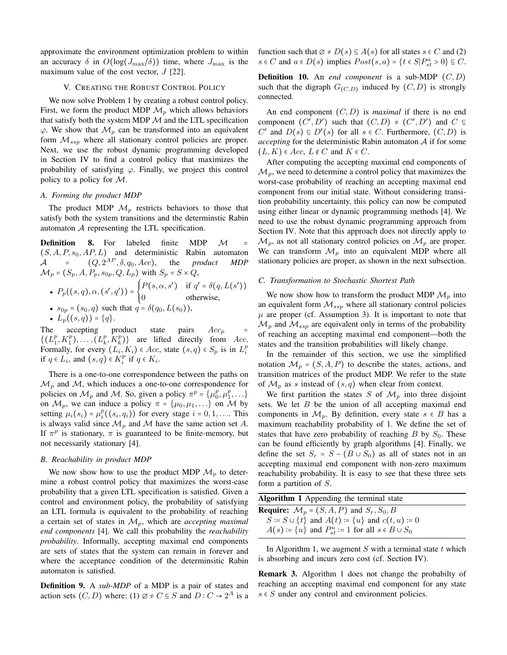approximate the environment optimization problem to within an accuracy  $\delta$  in  $O(log(J_{\text{max}}/\delta))$  time, where  $J_{\text{max}}$  is the maximum value of the cost vector,  $J$  [22].

## V. CREATING THE ROBUST CONTROL POLICY

We now solve Problem 1 by creating a robust control policy. First, we form the product MDP  $\mathcal{M}_p$  which allows behaviors that satisfy both the system MDP  $M$  and the LTL specification  $\varphi$ . We show that  $\mathcal{M}_p$  can be transformed into an equivalent form  $\mathcal{M}_{ssp}$  where all stationary control policies are proper. Next, we use the robust dynamic programming developed in Section IV to find a control policy that maximizes the probability of satisfying  $\varphi$ . Finally, we project this control policy to a policy for M.

#### *A. Forming the product MDP*

The product MDP  $\mathcal{M}_p$  restricts behaviors to those that satisfy both the system transitions and the determinstic Rabin automaton  $A$  representing the LTL specification.

**Definition 8.** For labeled finite MDP  $M = (S, A, P, s_0, AP, L)$  and deterministic Rabin automaton  $(S, A, P, s_0, AP, L)$  and deterministic Rabin automaton<br>  $A = (Q, 2^{AP}, \delta, q_0, Acc)$ , the *product MDP*  $(Q, 2^{AP}, \delta, q_0, Acc),$  $\mathcal{M}_p$  =  $(S_p, A, P_p, s_{0p}, Q, L_p)$  with  $S_p$  =  $S \times Q$ , •  $P_p((s,q), \alpha, (s', q')) = \begin{cases} 0 & \text{if } s \neq 0 \\ 0 & \text{if } s \neq 0 \end{cases}$  $P(s, \alpha, s')$  if  $q' = \delta(q, L(s'))$ 0 otherwise, •  $s_{0p} = (s_0, q)$  such that  $q = \delta(q_0, L(s_0))$ ,

•  $L_p((s, q)) = \{q\}.$ <br>
e accepting product state The accepting product state pairs  $Acc_p = (CT)^{n} T^{n}$  $\{(L_1^p, K_1^p), \ldots, (L_k^p, K_k^p)\}\$  are lifted directly from Acc. Formally, for every  $(L_i, K_i) \in Acc$ , state  $(s, q) \in S_p$  is in  $L_i^p$ if  $q \in L_i$ , and  $(s, q) \in K_i^p$  if  $q \in K_i$ .

There is a one-to-one correspondence between the paths on  $\mathcal{M}_p$  and  $\mathcal{M}$ , which induces a one-to-one correspondence for policies on  $\mathcal{M}_p$  and  $\mathcal{M}$ . So, given a policy  $\pi^p = {\mu_0^p, \mu_1^p, \ldots}$ on  $\mathcal{M}_p$ , we can induce a policy  $\pi = {\mu_0, \mu_1, \ldots}$  on  $\mathcal M$  by setting  $\mu_i(s_i) = \mu_i^p((s_i, q_i))$  for every stage  $i = 0, 1, \dots$  This is always valid since  $\mathcal{M}_p$  and  $\mathcal M$  have the same action set A. If  $\pi^p$  is stationary,  $\pi$  is guaranteed to be finite-memory, but not necessarily stationary [4].

## *B. Reachability in product MDP*

We now show how to use the product MDP  $\mathcal{M}_p$  to determine a robust control policy that maximizes the worst-case probability that a given LTL specification is satisfied. Given a control and environment policy, the probability of satisfying an LTL formula is equivalent to the probability of reaching a certain set of states in Mp, which are *accepting maximal end components* [4]. We call this probability the *reachability probability*. Informally, accepting maximal end components are sets of states that the system can remain in forever and where the acceptance condition of the determinsitic Rabin automaton is satisfied.

Definition 9. A *sub-MDP* of a MDP is a pair of states and action sets  $(C, D)$  where: (1)  $\emptyset \neq C \subseteq S$  and  $D : C \rightarrow 2^A$  is a function such that  $\emptyset \neq D(s) \subseteq A(s)$  for all states  $s \in C$  and (2)  $s \in C$  and  $a \in D(s)$  implies  $Post(s, a) = \{t \in S | P_{st}^a > 0\} \subseteq C$ .

**Definition 10.** An *end component* is a sub-MDP  $(C, D)$ such that the digraph  $G_{(C,D)}$  induced by  $(C,D)$  is strongly connected.

An end component (C,D) is *maximal* if there is no end component  $(C', D')$  such that  $(C, D) \neq (C', D')$  and  $C \subseteq$  $C'$  and  $D(s) \subseteq D'(s)$  for all  $s \in C$ . Furthermore,  $(C, D)$  is *accepting* for the deterministic Rabin automaton A if for some  $(L, K) \in Acc$ ,  $L \notin C$  and  $K \in C$ .

After computing the accepting maximal end components of  $\mathcal{M}_p$ , we need to determine a control policy that maximizes the worst-case probability of reaching an accepting maximal end component from our initial state. Without considering transition probability uncertainty, this policy can now be computed using either linear or dynamic programming methods [4]. We need to use the robust dynamic programming approach from Section IV. Note that this approach does not directly apply to  $\mathcal{M}_p$ , as not all stationary control policies on  $\mathcal{M}_p$  are proper. We can transform  $\mathcal{M}_p$  into an equivalent MDP where all stationary policies are proper, as shown in the next subsection.

# *C. Transformation to Stochastic Shortest Path*

We now show how to transform the product MDP  $\mathcal{M}_p$  into an equivalent form  $\mathcal{M}_{ssp}$  where all stationary control policies  $\mu$  are proper (cf. Assumption 3). It is important to note that  $\mathcal{M}_p$  and  $\mathcal{M}_{ssp}$  are equivalent only in terms of the probability of reaching an accepting maximal end component—both the states and the transition probabilities will likely change.

In the remainder of this section, we use the simplified notation  $\mathcal{M}_p = (S, A, P)$  to describe the states, actions, and transition matrices of the product MDP. We refer to the state of  $\mathcal{M}_p$  as s instead of  $(s, q)$  when clear from context.

We first partition the states S of  $\mathcal{M}_n$  into three disjoint sets. We let  $B$  be the union of all accepting maximal end components in  $\mathcal{M}_n$ . By definition, every state  $s \in B$  has a maximum reachability probability of 1. We define the set of states that have zero probability of reaching  $B$  by  $S_0$ . These can be found efficiently by graph algorithms [4]. Finally, we define the set  $S_r = S - (B \cup S_0)$  as all of states not in an accepting maximal end component with non-zero maximum reachability probability. It is easy to see that these three sets form a partition of S.

| Algorithm 1 Appending the terminal state                          |  |
|-------------------------------------------------------------------|--|
| <b>Require:</b> $\mathcal{M}_p = (S, A, P)$ and $S_r$ , $S_0$ , B |  |
| $S := S \cup \{t\}$ and $A(t) := \{u\}$ and $c(t, u) := 0$        |  |
| $A(s)$ := $\{u\}$ and $P_{st}^u$ := 1 for all $s \in B \cup S_0$  |  |

In Algorithm 1, we augment  $S$  with a terminal state  $t$  which is absorbing and incurs zero cost (cf. Section IV).

Remark 3. Algorithm 1 does not change the probabilty of reaching an accepting maximal end component for any state  $s \in S$  under any control and environment policies.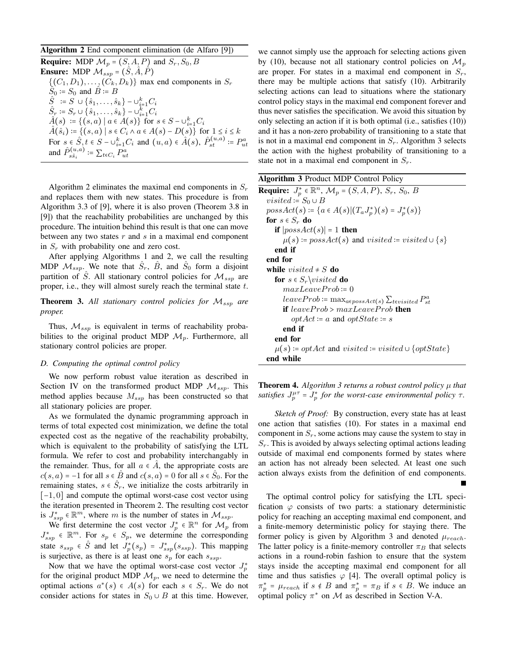Algorithm 2 End component elimination (de Alfaro [9])

**Require:** MDP  $\mathcal{M}_p = (S, A, P)$  and  $S_r, S_0, B$ **Ensure:** MDP  $\mathcal{M}_{ssp} = (\hat{S}, \hat{A}, \hat{P})$  $\{(C_1, D_1), \ldots, (C_k, D_k)\}\$  max end components in  $S_r$  $S_0$  :=  $S_0$  and  $\hat{B}$  := B  $\hat{S}$  :=  $S \cup {\hat{s}_1, ..., \hat{s}_k} - \cup_{i=1}^k C_i$  $\hat{S}_r = S_r \cup \{\hat{s}_1, \dots, \hat{s}_k\} - \cup_{i=1}^k C_i$  $\hat{A}(s) := \{ (s, a) \mid a \in \hat{A}(s) \}$  for  $s \in S - \cup_{i=1}^k C_i$  $\hat{A}(\hat{s}_i)$  := { $(s, a) | s \in C_i \land a \in A(s) - D(s)$ } for  $1 \leq i \leq k$ For  $s \in \hat{S}, t \in S - \cup_{i=1}^k C_i$  and  $(u, a) \in \hat{A}(s), \hat{P}_{st}^{(u, a)} := P_{ut}^a$ and  $\hat{P}_{s\hat{s}_i}^{(u,a)} \coloneqq \sum_{t \in C_i} P_{ut}^a$ 

Algorithm 2 eliminates the maximal end components in  $S_r$ and replaces them with new states. This procedure is from Algorithm 3.3 of [9], where it is also proven (Theorem 3.8 in [9]) that the reachability probabilities are unchanged by this procedure. The intuition behind this result is that one can move between any two states  $r$  and  $s$  in a maximal end component in  $S_r$  with probability one and zero cost.

After applying Algorithms 1 and 2, we call the resulting MDP  $\mathcal{M}_{ssp}$ . We note that  $S_r$ ,  $\overline{B}$ , and  $\overline{S}_0$  form a disjoint partition of S. All stationary control policies for  $\mathcal{M}_{ssp}$  are proper, i.e., they will almost surely reach the terminal state  $t$ .

**Theorem 3.** All stationary control policies for  $M_{ssp}$  are *proper.*

Thus,  $M_{ssp}$  is equivalent in terms of reachability probabilities to the original product MDP  $\mathcal{M}_p$ . Furthermore, all stationary control policies are proper.

# *D. Computing the optimal control policy*

We now perform robust value iteration as described in Section IV on the transformed product MDP  $\mathcal{M}_{ssp}$ . This method applies because  $M_{ssp}$  has been constructed so that all stationary policies are proper.

As we formulated the dynamic programming approach in terms of total expected cost minimization, we define the total expected cost as the negative of the reachability probabilty, which is equivalent to the probability of satisfying the LTL formula. We refer to cost and probability interchangably in the remainder. Thus, for all  $a \in \overline{A}$ , the appropriate costs are  $c(s, a) = -1$  for all  $s \in \hat{B}$  and  $c(s, a) = 0$  for all  $s \in \hat{S}_0$ . For the remaining states,  $s \in \overline{S}_r$ , we initialize the costs arbitrarily in [−1, 0] and compute the optimal worst-case cost vector using the iteration presented in Theorem 2. The resulting cost vector is  $J_{ssp}^* \in \mathbb{R}^m$ , where m is the number of states in  $\mathcal{M}_{ssp}$ .

We first determine the cost vector  $J_p^* \in \mathbb{R}^n$  for  $\mathcal{M}_p$  from  $J_{ssp}^* \in \mathbb{R}^m$ . For  $s_p \in S_p$ , we determine the corresponding state  $s_{ssp} \in \hat{S}$  and let  $J_p^*(s_p) = J_{ssp}^*(s_{ssp})$ . This mapping is surjective, as there is at least one  $s_p$  for each  $s_{ssp}$ .

Now that we have the optimal worst-case cost vector  $J_p^*$ for the original product MDP  $\mathcal{M}_p$ , we need to determine the optimal actions  $a^*(s) \in A(s)$  for each  $s \in S_r$ . We do not consider actions for states in  $S_0 \cup B$  at this time. However,

we cannot simply use the approach for selecting actions given by (10), because not all stationary control policies on  $\mathcal{M}_p$ are proper. For states in a maximal end component in  $S_r$ , there may be multiple actions that satisfy (10). Arbitrarily selecting actions can lead to situations where the stationary control policy stays in the maximal end component forever and thus never satisfies the specification. We avoid this situation by only selecting an action if it is both optimal (i.e., satisfies (10)) and it has a non-zero probability of transitioning to a state that is not in a maximal end component in  $S_r$ . Algorithm 3 selects the action with the highest probability of transitioning to a state not in a maximal end component in  $S_r$ .

| <b>Algorithm 3</b> Product MDP Control Policy                                                |
|----------------------------------------------------------------------------------------------|
| <b>Require:</b> $J_p^* \in \mathbb{R}^n$ , $\mathcal{M}_p = (S, A, P)$ , $S_r$ , $S_0$ , $B$ |
| <i>visited</i> := $S_0 \cup B$                                                               |
| $possAct(s) := \{a \in A(s) (T_a J_p^*)(s) = J_p^*(s)\}\$                                    |
| for $s \in S_r$ do                                                                           |
| if $ possAct(s)  = 1$ then                                                                   |
| $\mu(s)$ := possAct(s) and visited := visited $\cup$ {s}                                     |
| end if                                                                                       |
| end for                                                                                      |
| while <i>visited</i> $\neq$ <i>S</i> do                                                      |
| for $s \in S_r$ <i>visited</i> do                                                            |
| $maxLeaveProb := 0$                                                                          |
| $leave Prob \coloneqq \max_{a \in possAct(s)} \sum_{t \in visited} P_{st}^{a}$               |
| <b>if</b> leaveProb > $maxLeaveProb$ <b>then</b>                                             |
| $optAct := a$ and $optState := s$                                                            |
| end if                                                                                       |
| end for                                                                                      |
| $\mu(s)$ := optAct and visited := visited $\cup$ {optState}                                  |
| end while                                                                                    |

**Theorem 4.** Algorithm 3 returns a robust control policy  $\mu$  that satisfies  $J_p^{\mu\tau} = J_p^*$  for the worst-case environmental policy  $\tau$ .

*Sketch of Proof:* By construction, every state has at least one action that satisfies (10). For states in a maximal end component in  $S_r$ , some actions may cause the system to stay in  $S_r$ . This is avoided by always selecting optimal actions leading outside of maximal end components formed by states where an action has not already been selected. At least one such action always exists from the definition of end components.

The optimal control policy for satisfying the LTL specification  $\varphi$  consists of two parts: a stationary deterministic policy for reaching an accepting maximal end component, and a finite-memory deterministic policy for staying there. The former policy is given by Algorithm 3 and denoted  $\mu_{reach}$ . The latter policy is a finite-memory controller  $\pi_B$  that selects actions in a round-robin fashion to ensure that the system stays inside the accepting maximal end component for all time and thus satisfies  $\varphi$  [4]. The overall optimal policy is  $\pi_p^* = \mu_{reach}$  if  $s \notin B$  and  $\pi_p^* = \pi_B$  if  $s \in B$ . We induce an optimal policy  $\pi^*$  on M as described in Section V-A.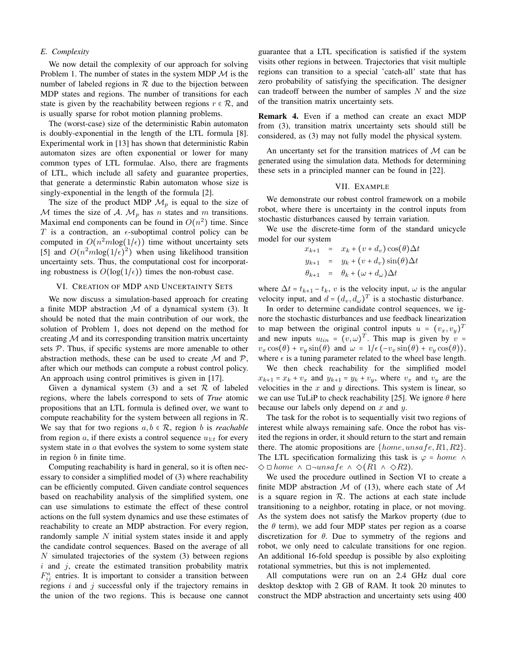## *E. Complexity*

We now detail the complexity of our approach for solving Problem 1. The number of states in the system MDP  $\mathcal M$  is the number of labeled regions in  $R$  due to the bijection between MDP states and regions. The number of transitions for each state is given by the reachability between regions  $r \in \mathcal{R}$ , and is usually sparse for robot motion planning problems.

The (worst-case) size of the deterministic Rabin automaton is doubly-exponential in the length of the LTL formula [8]. Experimental work in [13] has shown that deterministic Rabin automaton sizes are often exponential or lower for many common types of LTL formulae. Also, there are fragments of LTL, which include all safety and guarantee properties, that generate a determinstic Rabin automaton whose size is singly-exponential in the length of the formula [2].

The size of the product MDP  $\mathcal{M}_p$  is equal to the size of M times the size of A.  $\mathcal{M}_p$  has n states and m transitions. Maximal end components can be found in  $O(n^2)$  time. Since T is a contraction, an  $\epsilon$ -suboptimal control policy can be computed in  $O(n^2m\log(1/\epsilon))$  time without uncertainty sets [5] and  $O(n^2m\log(1/\epsilon)^2)$  when using likelihood transition uncertainty sets. Thus, the computational cost for incorporating robustness is  $O(log(1/\epsilon))$  times the non-robust case.

# VI. CREATION OF MDP AND UNCERTAINTY SETS

We now discuss a simulation-based approach for creating a finite MDP abstraction  $M$  of a dynamical system (3). It should be noted that the main contribution of our work, the solution of Problem 1, does not depend on the method for creating  $M$  and its corresponding transition matrix uncertainty sets  $P$ . Thus, if specific systems are more amenable to other abstraction methods, these can be used to create  $M$  and  $P$ , after which our methods can compute a robust control policy. An approach using control primitives is given in [17].

Given a dynamical system (3) and a set  $R$  of labeled regions, where the labels correspond to sets of *True* atomic propositions that an LTL formula is defined over, we want to compute reachability for the system between all regions in  $\mathcal{R}$ . We say that for two regions  $a, b \in \mathcal{R}$ , region b is *reachable* from region  $a$ , if there exists a control sequence  $u_{1:t}$  for every system state in  $a$  that evolves the system to some system state in region  $b$  in finite time.

Computing reachability is hard in general, so it is often necessary to consider a simplified model of (3) where reachability can be efficiently computed. Given candiate control sequences based on reachability analysis of the simplified system, one can use simulations to estimate the effect of these control actions on the full system dynamics and use these estimates of reachability to create an MDP abstraction. For every region, randomly sample  $N$  initial system states inside it and apply the candidate control sequences. Based on the average of all N simulated trajectories of the system (3) between regions  $i$  and  $j$ , create the estimated transition probability matrix  $F_{ij}^a$  entries. It is important to consider a transition between regions  $i$  and  $j$  successful only if the trajectory remains in the union of the two regions. This is because one cannot

guarantee that a LTL specification is satisfied if the system visits other regions in between. Trajectories that visit multiple regions can transition to a special 'catch-all' state that has zero probability of satisfying the specification. The designer can tradeoff between the number of samples  $N$  and the size of the transition matrix uncertainty sets.

Remark 4. Even if a method can create an exact MDP from (3), transition matrix uncertainty sets should still be considered, as (3) may not fully model the physical system.

An uncertanty set for the transition matrices of  $M$  can be generated using the simulation data. Methods for determining these sets in a principled manner can be found in [22].

# VII. EXAMPLE

We demonstrate our robust control framework on a mobile robot, where there is uncertainty in the control inputs from stochastic disturbances caused by terrain variation.

We use the discrete-time form of the standard unicycle model for our system

$$
x_{k+1} = x_k + (v + d_v) \cos(\theta) \Delta t
$$
  
\n
$$
y_{k+1} = y_k + (v + d_v) \sin(\theta) \Delta t
$$
  
\n
$$
\theta_{k+1} = \theta_k + (\omega + d_\omega) \Delta t
$$

where  $\Delta t = t_{k+1} - t_k$ , v is the velocity input,  $\omega$  is the angular velocity input, and  $d = (d_v, d_w)^T$  is a stochastic disturbance.

In order to determine candidate control sequences, we ignore the stochastic disturbances and use feedback linearization to map between the original control inputs  $u = (v_x, v_y)^T$ and new inputs  $u_{lin} = (v, \omega)^T$ . This map is given by  $v =$  $v_x \cos(\theta) + v_y \sin(\theta)$  and  $\omega = 1/\epsilon(-v_x \sin(\theta) + v_y \cos(\theta)),$ where  $\epsilon$  is a tuning parameter related to the wheel base length.

We then check reachability for the simplified model  $x_{k+1} = x_k + v_x$  and  $y_{k+1} = y_k + v_y$ , where  $v_x$  and  $v_y$  are the velocities in the  $x$  and  $y$  directions. This system is linear, so we can use TuLiP to check reachability [25]. We ignore  $\theta$  here because our labels only depend on  $x$  and  $y$ .

The task for the robot is to sequentially visit two regions of interest while always remaining safe. Once the robot has visited the regions in order, it should return to the start and remain there. The atomic propositions are  $\{home, unsafe, R1, R2\}$ . The LTL specification formalizing this task is  $\varphi = home \land$  $\Diamond$   $\Box$  home  $\land$   $\Box \neg \textit{unsafe} \land \Diamond$  (R1  $\land$   $\Diamond$  R2).

We used the procedure outlined in Section VI to create a finite MDP abstraction  $M$  of (13), where each state of  $M$ is a square region in  $R$ . The actions at each state include transitioning to a neighbor, rotating in place, or not moving. As the system does not satisfy the Markov property (due to the  $\theta$  term), we add four MDP states per region as a coarse discretization for  $\theta$ . Due to symmetry of the regions and robot, we only need to calculate transitions for one region. An additional 16-fold speedup is possible by also exploiting rotational symmetries, but this is not implemented.

All computations were run on an 2.4 GHz dual core desktop desktop with 2 GB of RAM. It took 20 minutes to construct the MDP abstraction and uncertainty sets using 400